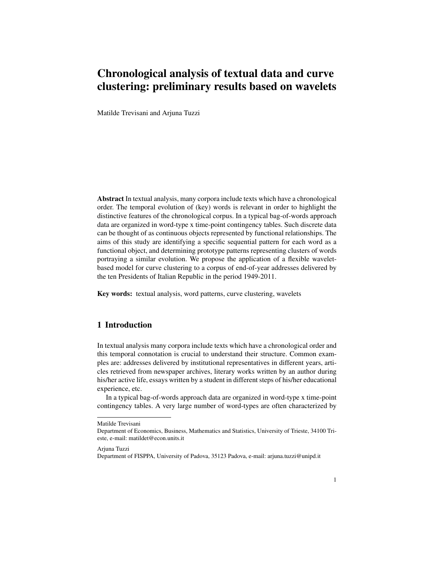# Chronological analysis of textual data and curve clustering: preliminary results based on wavelets

Matilde Trevisani and Arjuna Tuzzi

Abstract In textual analysis, many corpora include texts which have a chronological order. The temporal evolution of (key) words is relevant in order to highlight the distinctive features of the chronological corpus. In a typical bag-of-words approach data are organized in word-type x time-point contingency tables. Such discrete data can be thought of as continuous objects represented by functional relationships. The aims of this study are identifying a specific sequential pattern for each word as a functional object, and determining prototype patterns representing clusters of words portraying a similar evolution. We propose the application of a flexible waveletbased model for curve clustering to a corpus of end-of-year addresses delivered by the ten Presidents of Italian Republic in the period 1949-2011.

Key words: textual analysis, word patterns, curve clustering, wavelets

## 1 Introduction

In textual analysis many corpora include texts which have a chronological order and this temporal connotation is crucial to understand their structure. Common examples are: addresses delivered by institutional representatives in different years, articles retrieved from newspaper archives, literary works written by an author during his/her active life, essays written by a student in different steps of his/her educational experience, etc.

In a typical bag-of-words approach data are organized in word-type x time-point contingency tables. A very large number of word-types are often characterized by

Arjuna Tuzzi

Matilde Trevisani

Department of Economics, Business, Mathematics and Statistics, University of Trieste, 34100 Trieste, e-mail: matildet@econ.units.it

Department of FISPPA, University of Padova, 35123 Padova, e-mail: arjuna.tuzzi@unipd.it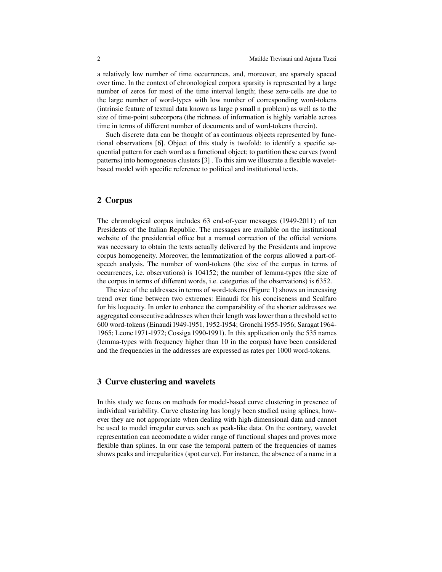a relatively low number of time occurrences, and, moreover, are sparsely spaced over time. In the context of chronological corpora sparsity is represented by a large number of zeros for most of the time interval length; these zero-cells are due to the large number of word-types with low number of corresponding word-tokens (intrinsic feature of textual data known as large p small n problem) as well as to the size of time-point subcorpora (the richness of information is highly variable across time in terms of different number of documents and of word-tokens therein).

Such discrete data can be thought of as continuous objects represented by functional observations [6]. Object of this study is twofold: to identify a specific sequential pattern for each word as a functional object; to partition these curves (word patterns) into homogeneous clusters [3] . To this aim we illustrate a flexible waveletbased model with specific reference to political and institutional texts.

### 2 Corpus

The chronological corpus includes 63 end-of-year messages (1949-2011) of ten Presidents of the Italian Republic. The messages are available on the institutional website of the presidential office but a manual correction of the official versions was necessary to obtain the texts actually delivered by the Presidents and improve corpus homogeneity. Moreover, the lemmatization of the corpus allowed a part-ofspeech analysis. The number of word-tokens (the size of the corpus in terms of occurrences, i.e. observations) is 104152; the number of lemma-types (the size of the corpus in terms of different words, i.e. categories of the observations) is 6352.

The size of the addresses in terms of word-tokens (Figure 1) shows an increasing trend over time between two extremes: Einaudi for his conciseness and Scalfaro for his loquacity. In order to enhance the comparability of the shorter addresses we aggregated consecutive addresses when their length was lower than a threshold set to 600 word-tokens (Einaudi 1949-1951,1952-1954; Gronchi 1955-1956; Saragat 1964- 1965; Leone 1971-1972; Cossiga 1990-1991). In this application only the 535 names (lemma-types with frequency higher than 10 in the corpus) have been considered and the frequencies in the addresses are expressed as rates per 1000 word-tokens.

#### 3 Curve clustering and wavelets

In this study we focus on methods for model-based curve clustering in presence of individual variability. Curve clustering has longly been studied using splines, however they are not appropriate when dealing with high-dimensional data and cannot be used to model irregular curves such as peak-like data. On the contrary, wavelet representation can accomodate a wider range of functional shapes and proves more flexible than splines. In our case the temporal pattern of the frequencies of names shows peaks and irregularities (spot curve). For instance, the absence of a name in a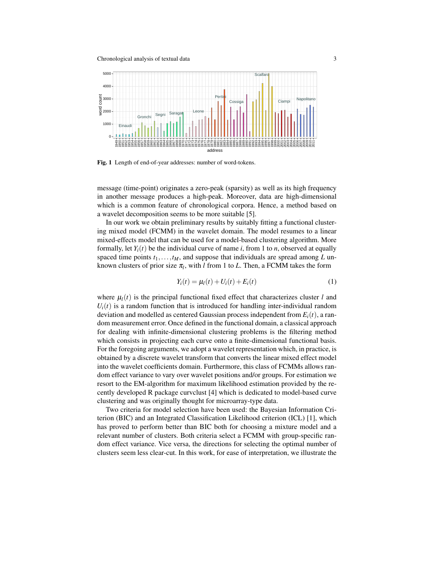Chronological analysis of textual data 3



Fig. 1 Length of end-of-year addresses: number of word-tokens.

message (time-point) originates a zero-peak (sparsity) as well as its high frequency in another message produces a high-peak. Moreover, data are high-dimensional which is a common feature of chronological corpora. Hence, a method based on a wavelet decomposition seems to be more suitable [5].

In our work we obtain preliminary results by suitably fitting a functional clustering mixed model (FCMM) in the wavelet domain. The model resumes to a linear mixed-effects model that can be used for a model-based clustering algorithm. More formally, let  $Y_i(t)$  be the individual curve of name *i*, from 1 to *n*, observed at equally spaced time points  $t_1, \ldots, t_M$ , and suppose that individuals are spread among *L* unknown clusters of prior size  $\pi_l$ , with *l* from 1 to *L*. Then, a FCMM takes the form

$$
Y_i(t) = \mu_i(t) + U_i(t) + E_i(t)
$$
 (1)

where  $\mu_l(t)$  is the principal functional fixed effect that characterizes cluster *l* and  $U_i(t)$  is a random function that is introduced for handling inter-individual random deviation and modelled as centered Gaussian process independent from  $E_i(t)$ , a random measurement error. Once defined in the functional domain, a classical approach for dealing with infinite-dimensional clustering problems is the filtering method which consists in projecting each curve onto a finite-dimensional functional basis. For the foregoing arguments, we adopt a wavelet representation which, in practice, is obtained by a discrete wavelet transform that converts the linear mixed effect model into the wavelet coefficients domain. Furthermore, this class of FCMMs allows random effect variance to vary over wavelet positions and/or groups. For estimation we resort to the EM-algorithm for maximum likelihood estimation provided by the recently developed R package curvclust [4] which is dedicated to model-based curve clustering and was originally thought for microarray-type data.

Two criteria for model selection have been used: the Bayesian Information Criterion (BIC) and an Integrated Classification Likelihood criterion (ICL) [1], which has proved to perform better than BIC both for choosing a mixture model and a relevant number of clusters. Both criteria select a FCMM with group-specific random effect variance. Vice versa, the directions for selecting the optimal number of clusters seem less clear-cut. In this work, for ease of interpretation, we illustrate the